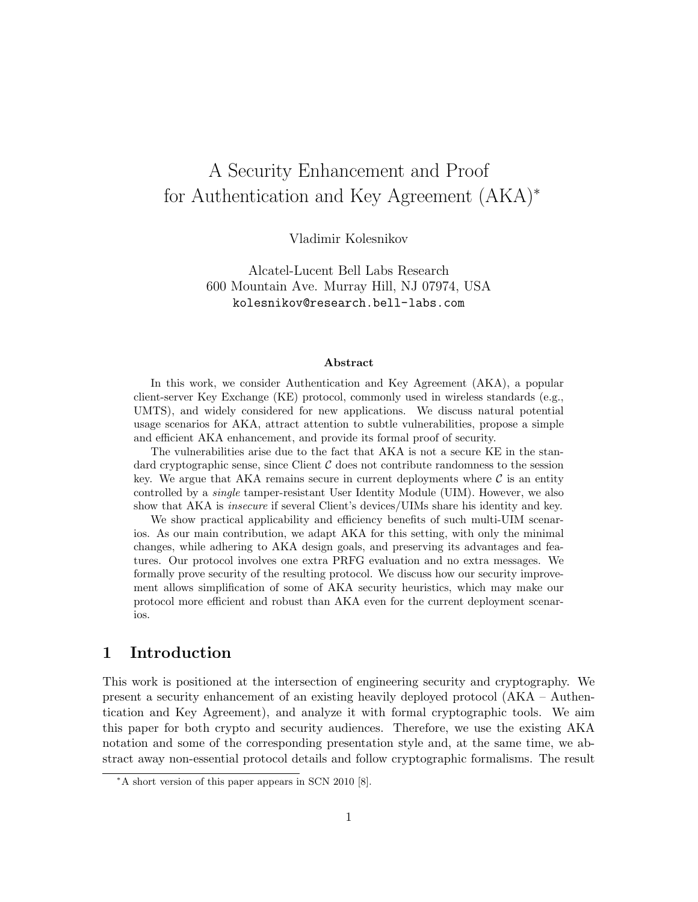# A Security Enhancement and Proof for Authentication and Key Agreement (AKA)<sup>∗</sup>

Vladimir Kolesnikov

Alcatel-Lucent Bell Labs Research 600 Mountain Ave. Murray Hill, NJ 07974, USA kolesnikov@research.bell-labs.com

#### Abstract

In this work, we consider Authentication and Key Agreement (AKA), a popular client-server Key Exchange (KE) protocol, commonly used in wireless standards (e.g., UMTS), and widely considered for new applications. We discuss natural potential usage scenarios for AKA, attract attention to subtle vulnerabilities, propose a simple and efficient AKA enhancement, and provide its formal proof of security.

The vulnerabilities arise due to the fact that AKA is not a secure KE in the standard cryptographic sense, since Client  $\mathcal C$  does not contribute randomness to the session key. We argue that AKA remains secure in current deployments where  $\mathcal C$  is an entity controlled by a single tamper-resistant User Identity Module (UIM). However, we also show that AKA is insecure if several Client's devices/UIMs share his identity and key.

We show practical applicability and efficiency benefits of such multi-UIM scenarios. As our main contribution, we adapt AKA for this setting, with only the minimal changes, while adhering to AKA design goals, and preserving its advantages and features. Our protocol involves one extra PRFG evaluation and no extra messages. We formally prove security of the resulting protocol. We discuss how our security improvement allows simplification of some of AKA security heuristics, which may make our protocol more efficient and robust than AKA even for the current deployment scenarios.

### 1 Introduction

This work is positioned at the intersection of engineering security and cryptography. We present a security enhancement of an existing heavily deployed protocol (AKA – Authentication and Key Agreement), and analyze it with formal cryptographic tools. We aim this paper for both crypto and security audiences. Therefore, we use the existing AKA notation and some of the corresponding presentation style and, at the same time, we abstract away non-essential protocol details and follow cryptographic formalisms. The result

<sup>∗</sup>A short version of this paper appears in SCN 2010 [8].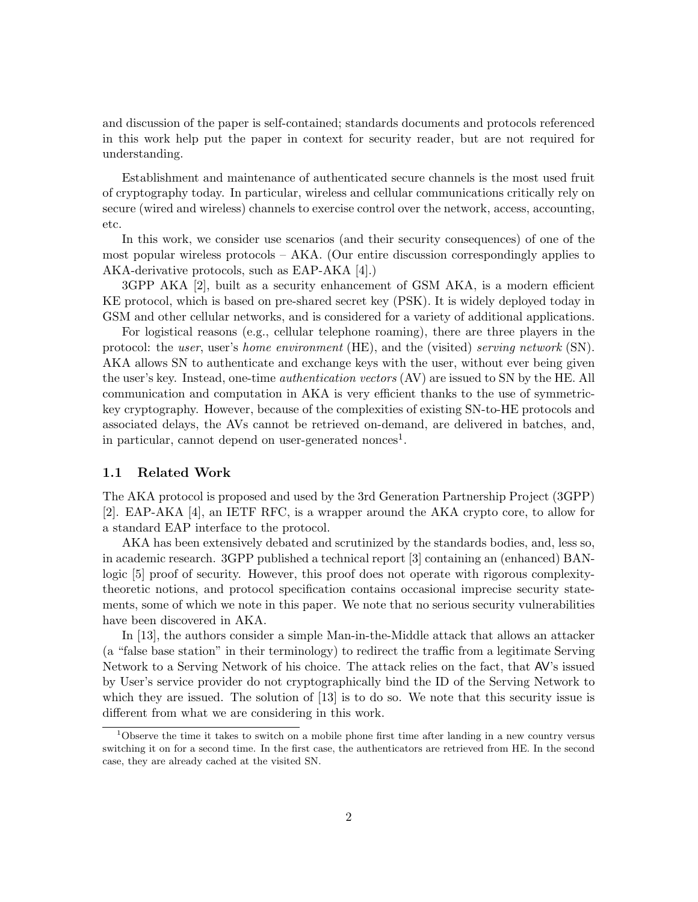and discussion of the paper is self-contained; standards documents and protocols referenced in this work help put the paper in context for security reader, but are not required for understanding.

Establishment and maintenance of authenticated secure channels is the most used fruit of cryptography today. In particular, wireless and cellular communications critically rely on secure (wired and wireless) channels to exercise control over the network, access, accounting, etc.

In this work, we consider use scenarios (and their security consequences) of one of the most popular wireless protocols – AKA. (Our entire discussion correspondingly applies to AKA-derivative protocols, such as EAP-AKA [4].)

3GPP AKA [2], built as a security enhancement of GSM AKA, is a modern efficient KE protocol, which is based on pre-shared secret key (PSK). It is widely deployed today in GSM and other cellular networks, and is considered for a variety of additional applications.

For logistical reasons (e.g., cellular telephone roaming), there are three players in the protocol: the user, user's home environment (HE), and the (visited) serving network (SN). AKA allows SN to authenticate and exchange keys with the user, without ever being given the user's key. Instead, one-time *authentication vectors* (AV) are issued to SN by the HE. All communication and computation in AKA is very efficient thanks to the use of symmetrickey cryptography. However, because of the complexities of existing SN-to-HE protocols and associated delays, the AVs cannot be retrieved on-demand, are delivered in batches, and, in particular, cannot depend on user-generated nonces<sup>1</sup>.

#### 1.1 Related Work

The AKA protocol is proposed and used by the 3rd Generation Partnership Project (3GPP) [2]. EAP-AKA [4], an IETF RFC, is a wrapper around the AKA crypto core, to allow for a standard EAP interface to the protocol.

AKA has been extensively debated and scrutinized by the standards bodies, and, less so, in academic research. 3GPP published a technical report [3] containing an (enhanced) BANlogic [5] proof of security. However, this proof does not operate with rigorous complexitytheoretic notions, and protocol specification contains occasional imprecise security statements, some of which we note in this paper. We note that no serious security vulnerabilities have been discovered in AKA.

In [13], the authors consider a simple Man-in-the-Middle attack that allows an attacker (a "false base station" in their terminology) to redirect the traffic from a legitimate Serving Network to a Serving Network of his choice. The attack relies on the fact, that AV's issued by User's service provider do not cryptographically bind the ID of the Serving Network to which they are issued. The solution of [13] is to do so. We note that this security issue is different from what we are considering in this work.

<sup>1</sup>Observe the time it takes to switch on a mobile phone first time after landing in a new country versus switching it on for a second time. In the first case, the authenticators are retrieved from HE. In the second case, they are already cached at the visited SN.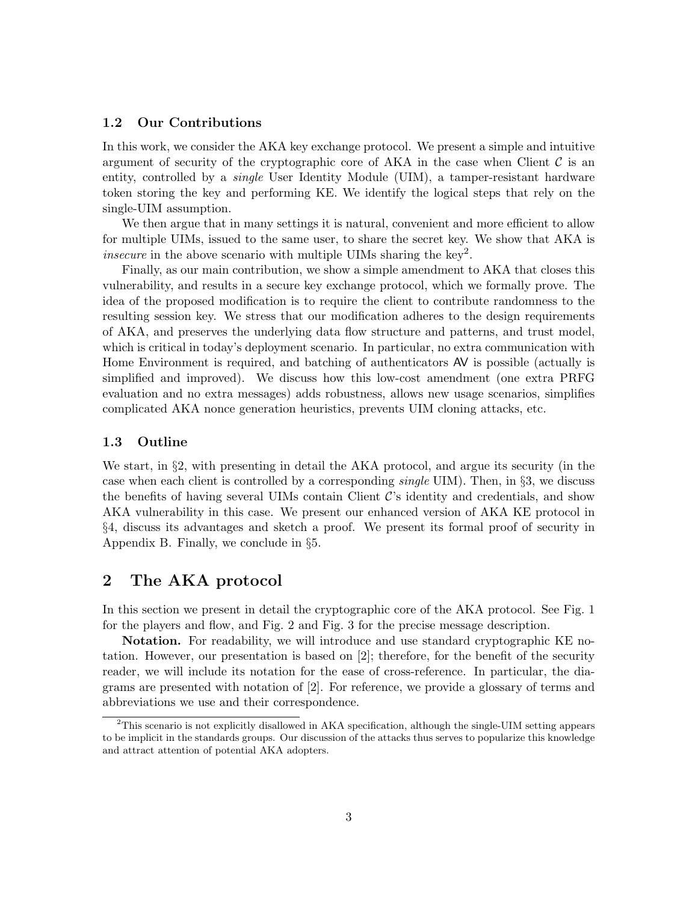#### 1.2 Our Contributions

In this work, we consider the AKA key exchange protocol. We present a simple and intuitive argument of security of the cryptographic core of AKA in the case when Client  $\mathcal C$  is an entity, controlled by a *single* User Identity Module (UIM), a tamper-resistant hardware token storing the key and performing KE. We identify the logical steps that rely on the single-UIM assumption.

We then argue that in many settings it is natural, convenient and more efficient to allow for multiple UIMs, issued to the same user, to share the secret key. We show that AKA is insecure in the above scenario with multiple UIMs sharing the key<sup>2</sup>.

Finally, as our main contribution, we show a simple amendment to AKA that closes this vulnerability, and results in a secure key exchange protocol, which we formally prove. The idea of the proposed modification is to require the client to contribute randomness to the resulting session key. We stress that our modification adheres to the design requirements of AKA, and preserves the underlying data flow structure and patterns, and trust model, which is critical in today's deployment scenario. In particular, no extra communication with Home Environment is required, and batching of authenticators AV is possible (actually is simplified and improved). We discuss how this low-cost amendment (one extra PRFG evaluation and no extra messages) adds robustness, allows new usage scenarios, simplifies complicated AKA nonce generation heuristics, prevents UIM cloning attacks, etc.

### 1.3 Outline

We start, in §2, with presenting in detail the AKA protocol, and argue its security (in the case when each client is controlled by a corresponding *single* UIM). Then, in  $\S3$ , we discuss the benefits of having several UIMs contain Client  $\mathcal{C}$ 's identity and credentials, and show AKA vulnerability in this case. We present our enhanced version of AKA KE protocol in §4, discuss its advantages and sketch a proof. We present its formal proof of security in Appendix B. Finally, we conclude in §5.

# 2 The AKA protocol

In this section we present in detail the cryptographic core of the AKA protocol. See Fig. 1 for the players and flow, and Fig. 2 and Fig. 3 for the precise message description.

Notation. For readability, we will introduce and use standard cryptographic KE notation. However, our presentation is based on [2]; therefore, for the benefit of the security reader, we will include its notation for the ease of cross-reference. In particular, the diagrams are presented with notation of [2]. For reference, we provide a glossary of terms and abbreviations we use and their correspondence.

<sup>2</sup>This scenario is not explicitly disallowed in AKA specification, although the single-UIM setting appears to be implicit in the standards groups. Our discussion of the attacks thus serves to popularize this knowledge and attract attention of potential AKA adopters.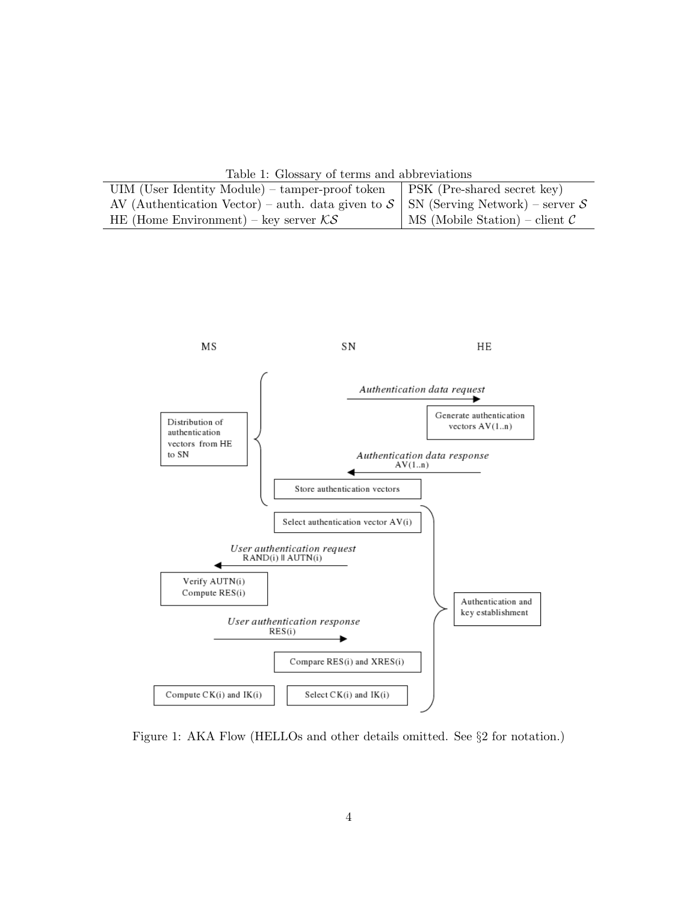Table 1: Glossary of terms and abbreviations

| Table 1. Globbary of terms and abbitionable                                                    |                                           |  |  |  |
|------------------------------------------------------------------------------------------------|-------------------------------------------|--|--|--|
| UIM (User Identity Module) – tamper-proof token $\Box$ PSK (Pre-shared secret key)             |                                           |  |  |  |
| AV (Authentication Vector) – auth. data given to $S \parallel SN$ (Serving Network) – server S |                                           |  |  |  |
| HE (Home Environment) – key server $\mathcal{KS}$                                              | MS (Mobile Station) – client $\mathcal C$ |  |  |  |



Figure 1: AKA Flow (HELLOs and other details omitted. See §2 for notation.)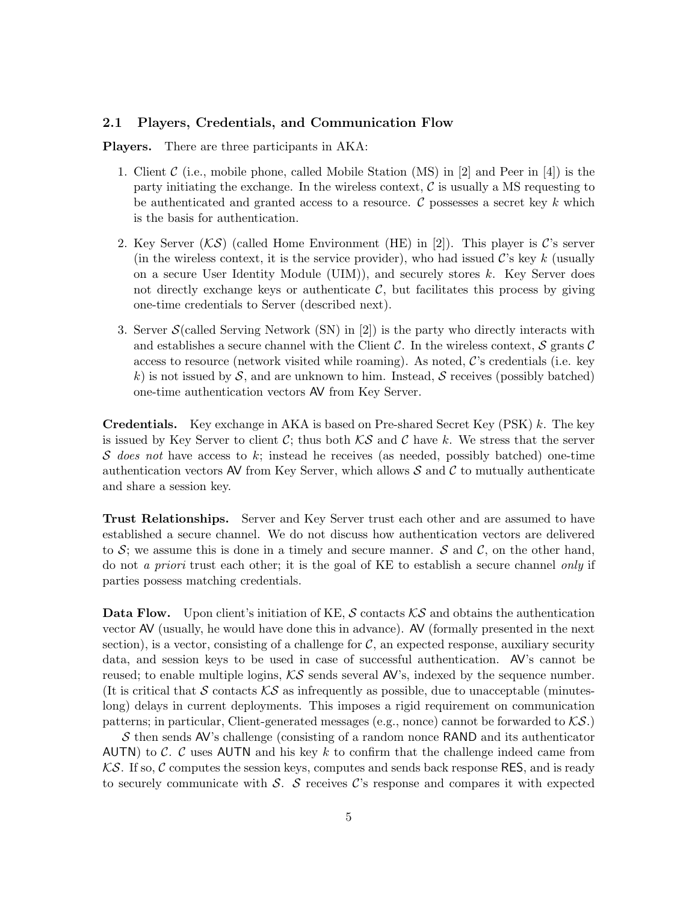#### 2.1 Players, Credentials, and Communication Flow

Players. There are three participants in AKA:

- 1. Client C (i.e., mobile phone, called Mobile Station (MS) in [2] and Peer in [4]) is the party initiating the exchange. In the wireless context,  $\mathcal C$  is usually a MS requesting to be authenticated and granted access to a resource.  $\mathcal C$  possesses a secret key k which is the basis for authentication.
- 2. Key Server  $(KS)$  (called Home Environment (HE) in [2]). This player is C's server (in the wireless context, it is the service provider), who had issued  $\mathcal{C}$ 's key k (usually on a secure User Identity Module (UIM)), and securely stores k. Key Server does not directly exchange keys or authenticate  $\mathcal{C}$ , but facilitates this process by giving one-time credentials to Server (described next).
- 3. Server  $\mathcal{S}(\text{called Serving Network (SN) in } [2])$  is the party who directly interacts with and establishes a secure channel with the Client C. In the wireless context, S grants  $\mathcal C$ access to resource (network visited while roaming). As noted,  $\mathcal{C}$ 's credentials (i.e. key k) is not issued by  $\mathcal{S}$ , and are unknown to him. Instead,  $\mathcal{S}$  receives (possibly batched) one-time authentication vectors AV from Key Server.

**Credentials.** Key exchange in AKA is based on Pre-shared Secret Key (PSK)  $k$ . The key is issued by Key Server to client  $C$ ; thus both  $\mathcal{KS}$  and  $\mathcal{C}$  have k. We stress that the server S does not have access to k; instead he receives (as needed, possibly batched) one-time authentication vectors AV from Key Server, which allows  $\mathcal S$  and  $\mathcal C$  to mutually authenticate and share a session key.

Trust Relationships. Server and Key Server trust each other and are assumed to have established a secure channel. We do not discuss how authentication vectors are delivered to S; we assume this is done in a timely and secure manner. S and C, on the other hand, do not a priori trust each other; it is the goal of KE to establish a secure channel only if parties possess matching credentials.

**Data Flow.** Upon client's initiation of KE, S contacts  $\mathcal{KS}$  and obtains the authentication vector AV (usually, he would have done this in advance). AV (formally presented in the next section), is a vector, consisting of a challenge for  $C$ , an expected response, auxiliary security data, and session keys to be used in case of successful authentication. AV's cannot be reused; to enable multiple logins,  $\mathcal{KS}$  sends several AV's, indexed by the sequence number. (It is critical that S contacts  $\mathcal{KS}$  as infrequently as possible, due to unacceptable (minuteslong) delays in current deployments. This imposes a rigid requirement on communication patterns; in particular, Client-generated messages (e.g., nonce) cannot be forwarded to  $\mathcal{KS}$ .)

 $\mathcal S$  then sends AV's challenge (consisting of a random nonce RAND and its authenticator AUTN) to  $\mathcal{C}$ .  $\mathcal{C}$  uses AUTN and his key k to confirm that the challenge indeed came from  $\mathcal{KS}$ . If so, C computes the session keys, computes and sends back response RES, and is ready to securely communicate with  $S$ . S receives C's response and compares it with expected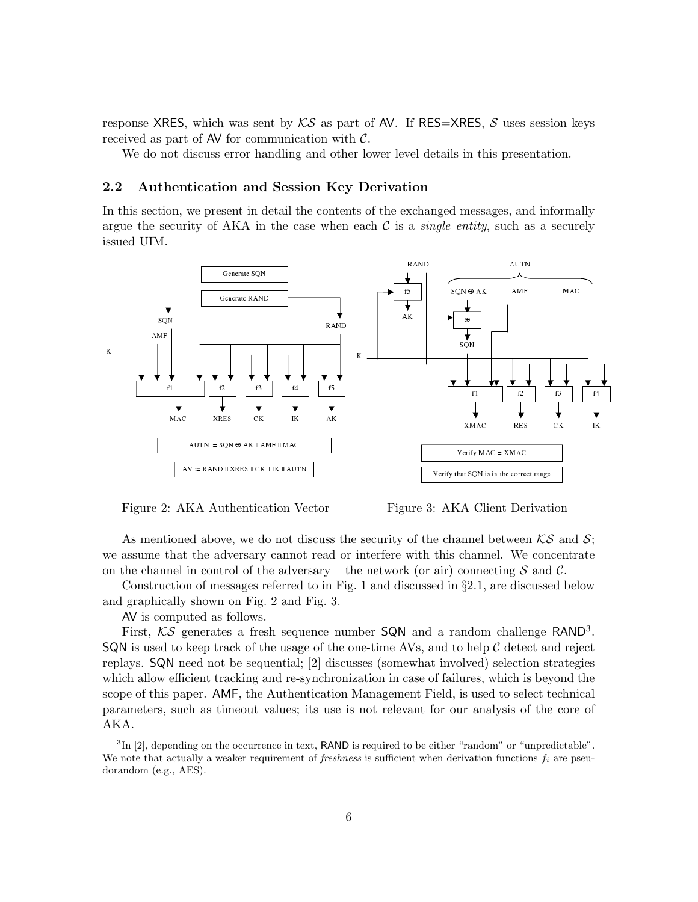response XRES, which was sent by  $\mathcal{KS}$  as part of AV. If RES=XRES, S uses session keys received as part of AV for communication with  $\mathcal{C}$ .

We do not discuss error handling and other lower level details in this presentation.

### 2.2 Authentication and Session Key Derivation

In this section, we present in detail the contents of the exchanged messages, and informally argue the security of AKA in the case when each  $\mathcal C$  is a *single entity*, such as a securely issued UIM.





As mentioned above, we do not discuss the security of the channel between  $\mathcal{KS}$  and  $\mathcal{S}$ ; we assume that the adversary cannot read or interfere with this channel. We concentrate on the channel in control of the adversary – the network (or air) connecting  $S$  and  $C$ .

Construction of messages referred to in Fig. 1 and discussed in §2.1, are discussed below and graphically shown on Fig. 2 and Fig. 3.

AV is computed as follows.

First,  $\mathcal{KS}$  generates a fresh sequence number SQN and a random challenge RAND<sup>3</sup>.  $SQN$  is used to keep track of the usage of the one-time AVs, and to help  $C$  detect and reject replays. SQN need not be sequential; [2] discusses (somewhat involved) selection strategies which allow efficient tracking and re-synchronization in case of failures, which is beyond the scope of this paper. AMF, the Authentication Management Field, is used to select technical parameters, such as timeout values; its use is not relevant for our analysis of the core of AKA.

 ${}^{3}\text{In}$  [2], depending on the occurrence in text, RAND is required to be either "random" or "unpredictable". We note that actually a weaker requirement of freshness is sufficient when derivation functions  $f_i$  are pseudorandom (e.g., AES).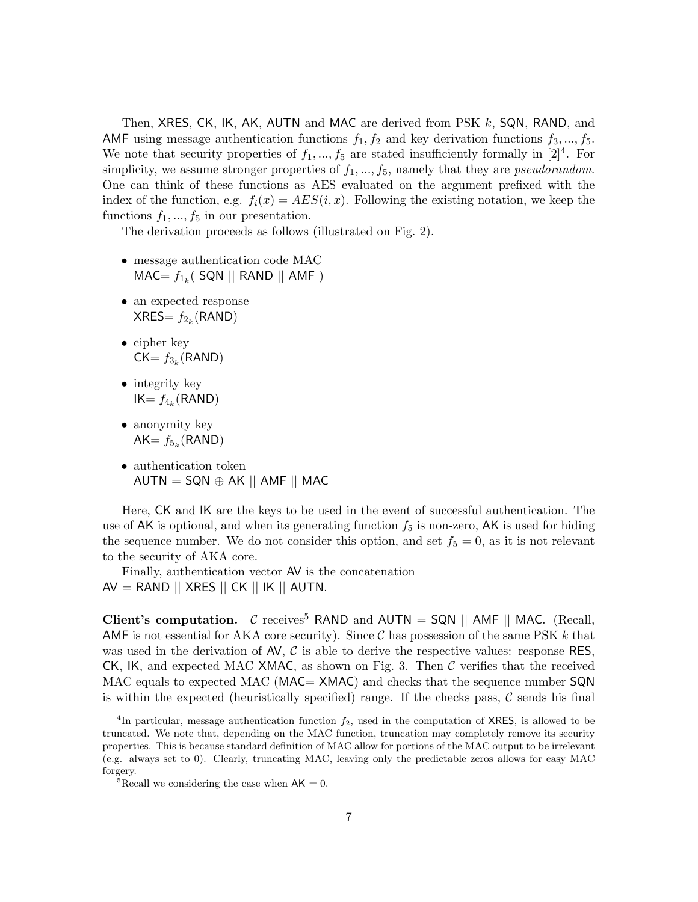Then, XRES, CK, IK, AK, AUTN and MAC are derived from PSK k, SQN, RAND, and AMF using message authentication functions  $f_1, f_2$  and key derivation functions  $f_3, ..., f_5$ . We note that security properties of  $f_1, ..., f_5$  are stated insufficiently formally in  $[2]^4$ . For simplicity, we assume stronger properties of  $f_1, ..., f_5$ , namely that they are *pseudorandom*. One can think of these functions as AES evaluated on the argument prefixed with the index of the function, e.g.  $f_i(x) = AES(i, x)$ . Following the existing notation, we keep the functions  $f_1, ..., f_5$  in our presentation.

The derivation proceeds as follows (illustrated on Fig. 2).

- message authentication code MAC  $\mathsf{MAC} = f_{1_k}(\mathsf{SQN} \parallel \mathsf{RAND} \parallel \mathsf{AMF})$
- an expected response  ${\sf XRES}\!=f_{2_k}({\sf RAND})$
- cipher key  $CK = f_{3_k}(RAND)$
- integrity key  $IK = f_{4_k}(RAND)$
- anonymity key  $AK = f_{5_k}(RAND)$
- authentication token  $AUTN = SQN \oplus AK \parallel AMF \parallel MAC$

Here, CK and IK are the keys to be used in the event of successful authentication. The use of AK is optional, and when its generating function  $f_5$  is non-zero, AK is used for hiding the sequence number. We do not consider this option, and set  $f_5 = 0$ , as it is not relevant to the security of AKA core.

Finally, authentication vector AV is the concatenation  $AV =$  RAND  $||$  XRES  $||$  CK  $||$  IK  $||$  AUTN.

Client's computation. C receives<sup>5</sup> RAND and AUTN = SQN || AMF || MAC. (Recall, AMF is not essential for AKA core security). Since  $\mathcal C$  has possession of the same PSK k that was used in the derivation of  $AV, C$  is able to derive the respective values: response RES, CK, IK, and expected MAC XMAC, as shown on Fig. 3. Then  $C$  verifies that the received MAC equals to expected MAC (MAC= XMAC) and checks that the sequence number SQN is within the expected (heuristically specified) range. If the checks pass,  $\mathcal C$  sends his final

<sup>&</sup>lt;sup>4</sup>In particular, message authentication function  $f_2$ , used in the computation of XRES, is allowed to be truncated. We note that, depending on the MAC function, truncation may completely remove its security properties. This is because standard definition of MAC allow for portions of the MAC output to be irrelevant (e.g. always set to 0). Clearly, truncating MAC, leaving only the predictable zeros allows for easy MAC forgery.

<sup>&</sup>lt;sup>5</sup>Recall we considering the case when  $AK = 0$ .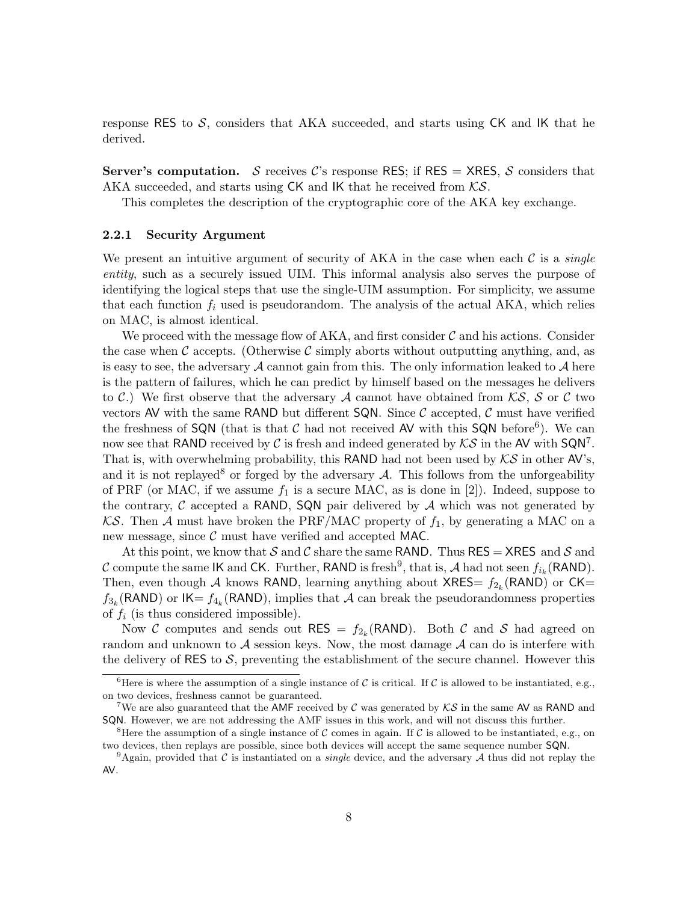response RES to  $S$ , considers that AKA succeeded, and starts using CK and IK that he derived.

**Server's computation.** S receives C's response RES; if RES = XRES, S considers that AKA succeeded, and starts using  $CK$  and  $IK$  that he received from  $KS$ .

This completes the description of the cryptographic core of the AKA key exchange.

#### 2.2.1 Security Argument

We present an intuitive argument of security of AKA in the case when each  $\mathcal C$  is a *single* entity, such as a securely issued UIM. This informal analysis also serves the purpose of identifying the logical steps that use the single-UIM assumption. For simplicity, we assume that each function  $f_i$  used is pseudorandom. The analysis of the actual  $AKA$ , which relies on MAC, is almost identical.

We proceed with the message flow of AKA, and first consider  $\mathcal C$  and his actions. Consider the case when C accepts. (Otherwise C simply aborts without outputting anything, and, as is easy to see, the adversary  $A$  cannot gain from this. The only information leaked to  $A$  here is the pattern of failures, which he can predict by himself based on the messages he delivers to C.) We first observe that the adversary A cannot have obtained from  $\mathcal{KS}, \mathcal{S}$  or C two vectors AV with the same RAND but different  $SQN$ . Since C accepted, C must have verified the freshness of SQN (that is that  $C$  had not received AV with this SQN before<sup>6</sup>). We can now see that RAND received by C is fresh and indeed generated by  $\mathcal{KS}$  in the AV with SQN<sup>7</sup>. That is, with overwhelming probability, this RAND had not been used by  $\mathcal{KS}$  in other AV's, and it is not replayed<sup>8</sup> or forged by the adversary  $A$ . This follows from the unforgeability of PRF (or MAC, if we assume  $f_1$  is a secure MAC, as is done in [2]). Indeed, suppose to the contrary,  $\mathcal C$  accepted a RAND, SQN pair delivered by  $\mathcal A$  which was not generated by  $\mathcal{KS}$ . Then A must have broken the PRF/MAC property of  $f_1$ , by generating a MAC on a new message, since  $\mathcal C$  must have verified and accepted MAC.

At this point, we know that S and C share the same RAND. Thus RES = XRES and S and C compute the same IK and CK. Further, RAND is fresh<sup>9</sup>, that is, A had not seen  $f_{i_k}$ (RAND). Then, even though A knows RAND, learning anything about  $XRES = f_{2_k}(RAND)$  or  $CK =$  $f_{3_k}(\text{RAND})$  or  $\text{IK} = f_{4_k}(\text{RAND})$ , implies that A can break the pseudorandomness properties of  $f_i$  (is thus considered impossible).

Now C computes and sends out  $RES = f_{2_k}(RAND)$ . Both C and S had agreed on random and unknown to  $A$  session keys. Now, the most damage  $A$  can do is interfere with the delivery of RES to  $S$ , preventing the establishment of the secure channel. However this

<sup>&</sup>lt;sup>6</sup>Here is where the assumption of a single instance of C is critical. If C is allowed to be instantiated, e.g., on two devices, freshness cannot be guaranteed.

<sup>&</sup>lt;sup>7</sup>We are also guaranteed that the AMF received by C was generated by  $\mathcal{KS}$  in the same AV as RAND and SQN. However, we are not addressing the AMF issues in this work, and will not discuss this further.

<sup>&</sup>lt;sup>8</sup>Here the assumption of a single instance of C comes in again. If C is allowed to be instantiated, e.g., on two devices, then replays are possible, since both devices will accept the same sequence number SQN.

<sup>&</sup>lt;sup>9</sup>Again, provided that C is instantiated on a *single* device, and the adversary A thus did not replay the AV.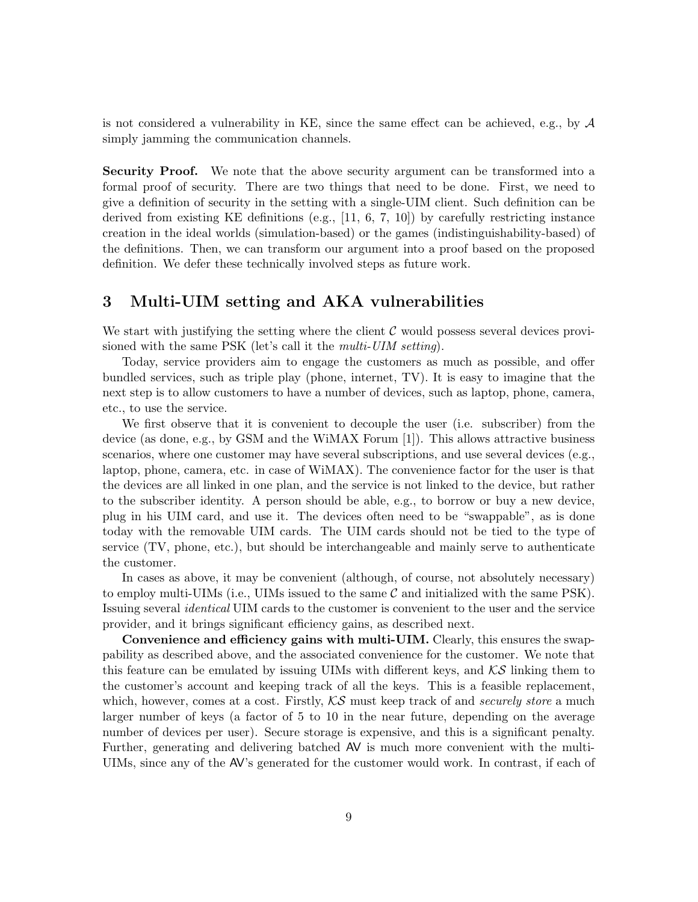is not considered a vulnerability in KE, since the same effect can be achieved, e.g., by  $\mathcal A$ simply jamming the communication channels.

Security Proof. We note that the above security argument can be transformed into a formal proof of security. There are two things that need to be done. First, we need to give a definition of security in the setting with a single-UIM client. Such definition can be derived from existing KE definitions (e.g.,  $[11, 6, 7, 10]$ ) by carefully restricting instance creation in the ideal worlds (simulation-based) or the games (indistinguishability-based) of the definitions. Then, we can transform our argument into a proof based on the proposed definition. We defer these technically involved steps as future work.

# 3 Multi-UIM setting and AKA vulnerabilities

We start with justifying the setting where the client  $\mathcal C$  would possess several devices provisioned with the same PSK (let's call it the *multi-UIM setting*).

Today, service providers aim to engage the customers as much as possible, and offer bundled services, such as triple play (phone, internet, TV). It is easy to imagine that the next step is to allow customers to have a number of devices, such as laptop, phone, camera, etc., to use the service.

We first observe that it is convenient to decouple the user (i.e. subscriber) from the device (as done, e.g., by GSM and the WiMAX Forum [1]). This allows attractive business scenarios, where one customer may have several subscriptions, and use several devices (e.g., laptop, phone, camera, etc. in case of WiMAX). The convenience factor for the user is that the devices are all linked in one plan, and the service is not linked to the device, but rather to the subscriber identity. A person should be able, e.g., to borrow or buy a new device, plug in his UIM card, and use it. The devices often need to be "swappable", as is done today with the removable UIM cards. The UIM cards should not be tied to the type of service (TV, phone, etc.), but should be interchangeable and mainly serve to authenticate the customer.

In cases as above, it may be convenient (although, of course, not absolutely necessary) to employ multi-UIMs (i.e., UIMs issued to the same  $\mathcal C$  and initialized with the same PSK). Issuing several identical UIM cards to the customer is convenient to the user and the service provider, and it brings significant efficiency gains, as described next.

Convenience and efficiency gains with multi-UIM. Clearly, this ensures the swappability as described above, and the associated convenience for the customer. We note that this feature can be emulated by issuing UIMs with different keys, and  $\mathcal{KS}$  linking them to the customer's account and keeping track of all the keys. This is a feasible replacement, which, however, comes at a cost. Firstly,  $\mathcal{KS}$  must keep track of and securely store a much larger number of keys (a factor of 5 to 10 in the near future, depending on the average number of devices per user). Secure storage is expensive, and this is a significant penalty. Further, generating and delivering batched AV is much more convenient with the multi-UIMs, since any of the AV's generated for the customer would work. In contrast, if each of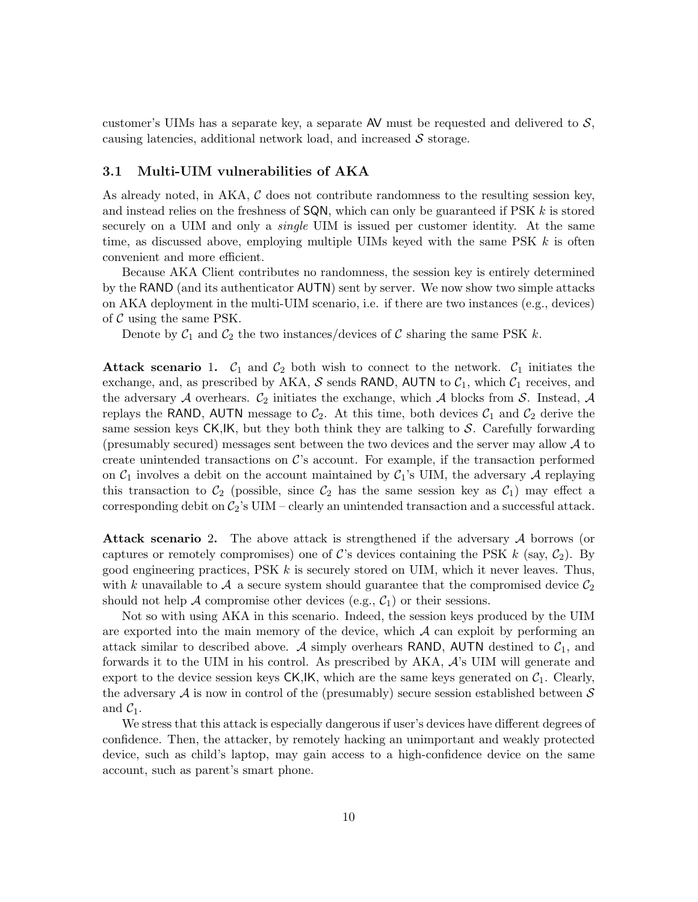customer's UIMs has a separate key, a separate AV must be requested and delivered to  $S$ , causing latencies, additional network load, and increased  $\mathcal S$  storage.

### 3.1 Multi-UIM vulnerabilities of AKA

As already noted, in  $AKA$ ,  $C$  does not contribute randomness to the resulting session key, and instead relies on the freshness of  $SQN$ , which can only be guaranteed if  $PSK k$  is stored securely on a UIM and only a *single* UIM is issued per customer identity. At the same time, as discussed above, employing multiple UIMs keyed with the same PSK  $k$  is often convenient and more efficient.

Because AKA Client contributes no randomness, the session key is entirely determined by the RAND (and its authenticator AUTN) sent by server. We now show two simple attacks on AKA deployment in the multi-UIM scenario, i.e. if there are two instances (e.g., devices) of  $\mathcal C$  using the same PSK.

Denote by  $C_1$  and  $C_2$  the two instances/devices of C sharing the same PSK k.

Attack scenario 1.  $C_1$  and  $C_2$  both wish to connect to the network.  $C_1$  initiates the exchange, and, as prescribed by AKA, S sends RAND, AUTN to  $C_1$ , which  $C_1$  receives, and the adversary A overhears.  $\mathcal{C}_2$  initiates the exchange, which A blocks from S. Instead, A replays the RAND, AUTN message to  $\mathcal{C}_2$ . At this time, both devices  $\mathcal{C}_1$  and  $\mathcal{C}_2$  derive the same session keys  $CK,$ K, but they both think they are talking to S. Carefully forwarding (presumably secured) messages sent between the two devices and the server may allow  $\mathcal A$  to create unintended transactions on  $\mathcal{C}$ 's account. For example, if the transaction performed on  $C_1$  involves a debit on the account maintained by  $C_1$ 's UIM, the adversary A replaying this transaction to  $\mathcal{C}_2$  (possible, since  $\mathcal{C}_2$  has the same session key as  $\mathcal{C}_1$ ) may effect a corresponding debit on  $C_2$ 's UIM – clearly an unintended transaction and a successful attack.

**Attack scenario** 2. The above attack is strengthened if the adversary  $\mathcal A$  borrows (or captures or remotely compromises) one of C's devices containing the PSK k (say,  $C_2$ ). By good engineering practices, PSK  $k$  is securely stored on UIM, which it never leaves. Thus, with k unavailable to A a secure system should guarantee that the compromised device  $\mathcal{C}_2$ should not help A compromise other devices (e.g.,  $\mathcal{C}_1$ ) or their sessions.

Not so with using AKA in this scenario. Indeed, the session keys produced by the UIM are exported into the main memory of the device, which  $A$  can exploit by performing an attack similar to described above. A simply overhears RAND, AUTN destined to  $C_1$ , and forwards it to the UIM in his control. As prescribed by AKA, A's UIM will generate and export to the device session keys  $CK, IK$ , which are the same keys generated on  $C_1$ . Clearly, the adversary A is now in control of the (presumably) secure session established between  $\mathcal S$ and  $C_1$ .

We stress that this attack is especially dangerous if user's devices have different degrees of confidence. Then, the attacker, by remotely hacking an unimportant and weakly protected device, such as child's laptop, may gain access to a high-confidence device on the same account, such as parent's smart phone.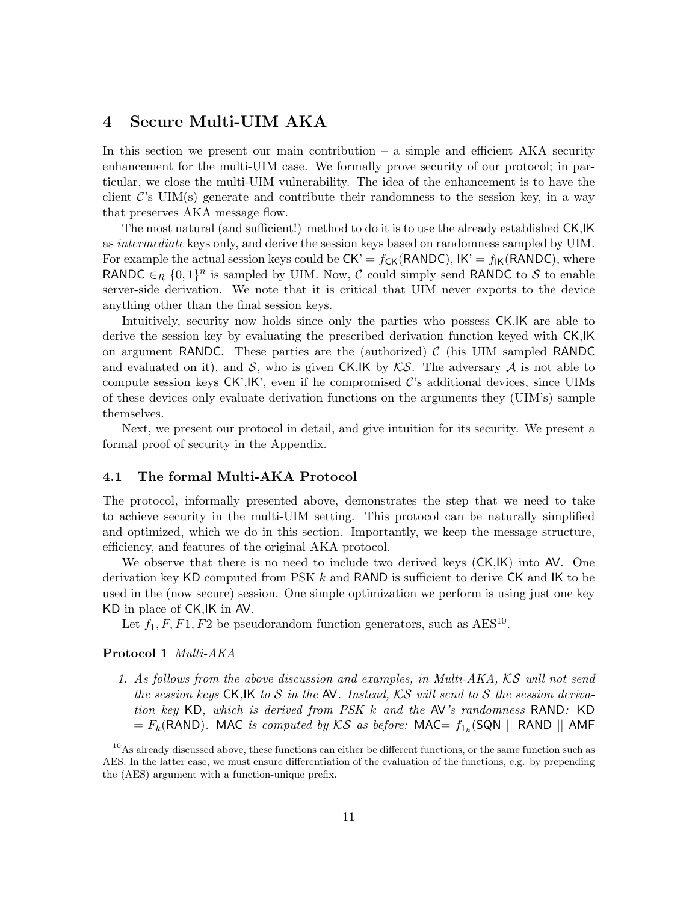# 4 Secure Multi-UIM AKA

In this section we present our main contribution  $-$  a simple and efficient AKA security enhancement for the multi-UIM case. We formally prove security of our protocol; in particular, we close the multi-UIM vulnerability. The idea of the enhancement is to have the client  $\mathcal{C}$ 's UIM(s) generate and contribute their randomness to the session key, in a way that preserves AKA message flow.

The most natural (and sufficient!) method to do it is to use the already established CK,IK as intermediate keys only, and derive the session keys based on randomness sampled by UIM. For example the actual session keys could be  $CK' = f_{CK}(RANDC)$ ,  $IK' = f_{IK}(RANDC)$ , where RANDC  $\in_R \{0,1\}^n$  is sampled by UIM. Now, C could simply send RANDC to S to enable server-side derivation. We note that it is critical that UIM never exports to the device anything other than the final session keys.

Intuitively, security now holds since only the parties who possess CK,IK are able to derive the session key by evaluating the prescribed derivation function keyed with CK,IK on argument RANDC. These parties are the (authorized)  $\mathcal C$  (his UIM sampled RANDC and evaluated on it), and  $S$ , who is given CK,IK by  $\mathcal{KS}$ . The adversary  $\mathcal A$  is not able to compute session keys  $CK'$ ,  $IK'$ , even if he compromised C's additional devices, since UIMs of these devices only evaluate derivation functions on the arguments they (UIM's) sample themselves.

Next, we present our protocol in detail, and give intuition for its security. We present a formal proof of security in the Appendix.

#### 4.1 The formal Multi-AKA Protocol

The protocol, informally presented above, demonstrates the step that we need to take to achieve security in the multi-UIM setting. This protocol can be naturally simplified and optimized, which we do in this section. Importantly, we keep the message structure, efficiency, and features of the original AKA protocol.

We observe that there is no need to include two derived keys  $(CK,IK)$  into AV. One derivation key KD computed from PSK  $k$  and RAND is sufficient to derive CK and IK to be used in the (now secure) session. One simple optimization we perform is using just one key KD in place of CK,IK in AV.

Let  $f_1, F, F1, F2$  be pseudorandom function generators, such as  $\text{AES}^{10}$ .

### Protocol 1 Multi-AKA

1. As follows from the above discussion and examples, in Multi-AKA, KS will not send the session keys  $CK,$  IK to S in the AV. Instead, KS will send to S the session derivation key KD, which is derived from PSK k and the AV's randomness RAND: KD  $=F_k(\text{RAND})$ . MAC is computed by KS as before: MAC=  $f_{1_k}(\text{SQN} \parallel \text{RAND} \parallel \text{AMF})$ 

<sup>&</sup>lt;sup>10</sup>As already discussed above, these functions can either be different functions, or the same function such as AES. In the latter case, we must ensure differentiation of the evaluation of the functions, e.g. by prepending the (AES) argument with a function-unique prefix.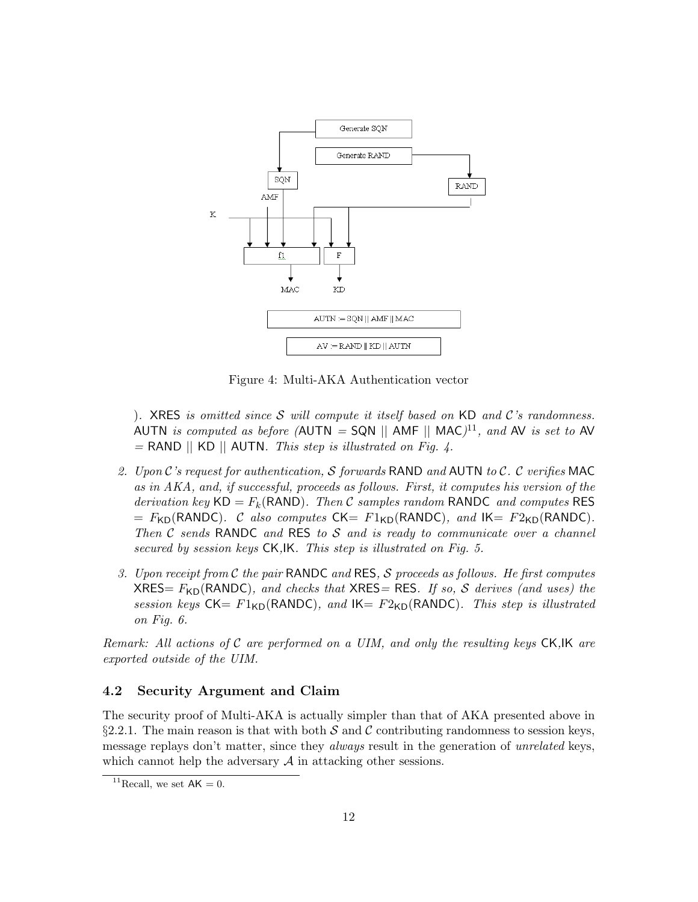

Figure 4: Multi-AKA Authentication vector

). XRES is omitted since S will compute it itself based on  $KD$  and  $C$ 's randomness. AUTN is computed as before (AUTN = SQN || AMF || MAC)<sup>11</sup>, and AV is set to AV  $=$  RAND || KD || AUTN. This step is illustrated on Fig. 4.

- 2. Upon C's request for authentication, S forwards RAND and AUTN to C. C verifies MAC as in AKA, and, if successful, proceeds as follows. First, it computes his version of the derivation key KD =  $F_k(RAND)$ . Then C samples random RANDC and computes RES  $= F_{\text{KD}}(RANDC)$ . C also computes  $CK = F1_{\text{KD}}(RANDC)$ , and  $IK = F2_{\text{KD}}(RANDC)$ . Then C sends RANDC and RES to S and is ready to communicate over a channel secured by session keys CK, K. This step is illustrated on Fig. 5.
- 3. Upon receipt from C the pair RANDC and RES, S proceeds as follows. He first computes  $XRES = F<sub>KD</sub>(RANDC)$ , and checks that  $XRES = RES$ . If so, S derives (and uses) the session keys  $CK = F1_{KD}(RANDC)$ , and  $IK = F2_{KD}(RANDC)$ . This step is illustrated on Fig. 6.

Remark: All actions of C are performed on a UIM, and only the resulting keys  $CK,$  IK are exported outside of the UIM.

### 4.2 Security Argument and Claim

The security proof of Multi-AKA is actually simpler than that of AKA presented above in §2.2.1. The main reason is that with both S and C contributing randomness to session keys, message replays don't matter, since they *always* result in the generation of *unrelated* keys, which cannot help the adversary  $A$  in attacking other sessions.

<sup>&</sup>lt;sup>11</sup>Recall, we set  $AK = 0$ .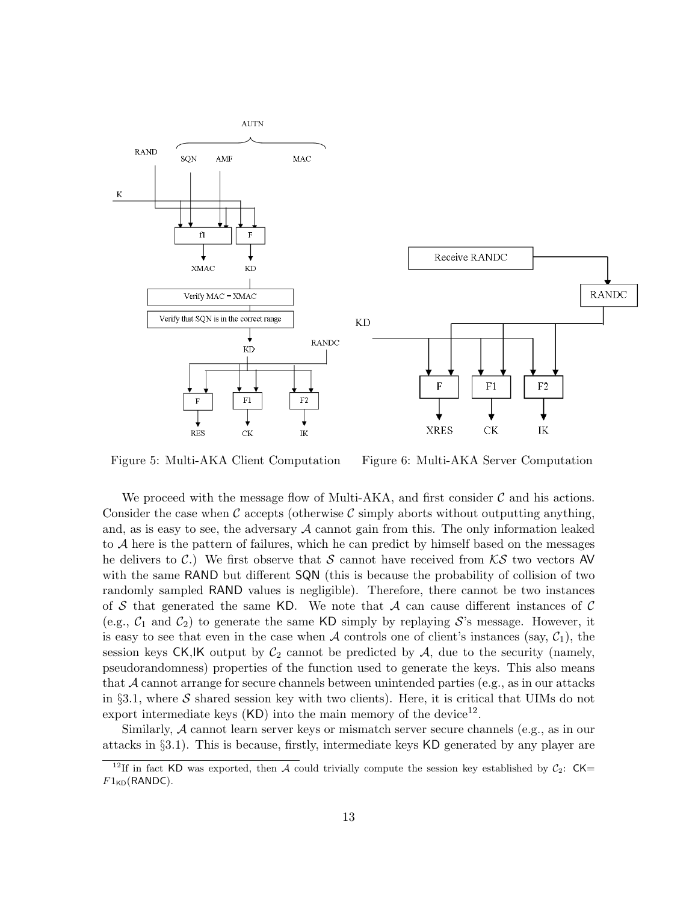

Figure 5: Multi-AKA Client Computation Figure 6: Multi-AKA Server Computation

We proceed with the message flow of Multi-AKA, and first consider  $\mathcal C$  and his actions. Consider the case when  $\mathcal C$  accepts (otherwise  $\mathcal C$  simply aborts without outputting anything, and, as is easy to see, the adversary  $A$  cannot gain from this. The only information leaked to A here is the pattern of failures, which he can predict by himself based on the messages he delivers to  $\mathcal{C}$ .) We first observe that S cannot have received from  $\mathcal{KS}$  two vectors AV with the same RAND but different SQN (this is because the probability of collision of two randomly sampled RAND values is negligible). Therefore, there cannot be two instances of S that generated the same KD. We note that A can cause different instances of C (e.g.,  $C_1$  and  $C_2$ ) to generate the same KD simply by replaying S's message. However, it is easy to see that even in the case when A controls one of client's instances (say,  $C_1$ ), the session keys CK, <sup>IK</sup> output by  $C_2$  cannot be predicted by A, due to the security (namely, pseudorandomness) properties of the function used to generate the keys. This also means that  $\mathcal A$  cannot arrange for secure channels between unintended parties (e.g., as in our attacks in §3.1, where  $S$  shared session key with two clients). Here, it is critical that UIMs do not export intermediate keys  $(KD)$  into the main memory of the device<sup>12</sup>.

Similarly, A cannot learn server keys or mismatch server secure channels (e.g., as in our attacks in §3.1). This is because, firstly, intermediate keys KD generated by any player are

<sup>&</sup>lt;sup>12</sup>If in fact KD was exported, then A could trivially compute the session key established by  $C_2$ : CK=  $F1_{KD}$ (RANDC).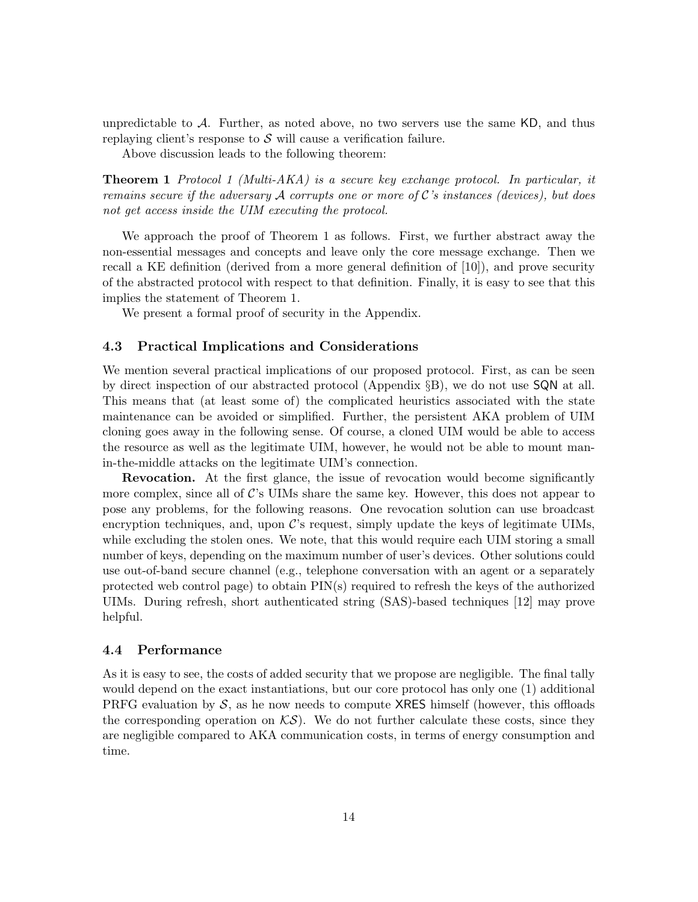unpredictable to  $\mathcal{A}$ . Further, as noted above, no two servers use the same KD, and thus replaying client's response to  $S$  will cause a verification failure.

Above discussion leads to the following theorem:

**Theorem 1** Protocol 1 (Multi-AKA) is a secure key exchange protocol. In particular, it remains secure if the adversary A corrupts one or more of  $\mathcal{C}'$ 's instances (devices), but does not get access inside the UIM executing the protocol.

We approach the proof of Theorem 1 as follows. First, we further abstract away the non-essential messages and concepts and leave only the core message exchange. Then we recall a KE definition (derived from a more general definition of [10]), and prove security of the abstracted protocol with respect to that definition. Finally, it is easy to see that this implies the statement of Theorem 1.

We present a formal proof of security in the Appendix.

### 4.3 Practical Implications and Considerations

We mention several practical implications of our proposed protocol. First, as can be seen by direct inspection of our abstracted protocol (Appendix §B), we do not use SQN at all. This means that (at least some of) the complicated heuristics associated with the state maintenance can be avoided or simplified. Further, the persistent AKA problem of UIM cloning goes away in the following sense. Of course, a cloned UIM would be able to access the resource as well as the legitimate UIM, however, he would not be able to mount manin-the-middle attacks on the legitimate UIM's connection.

Revocation. At the first glance, the issue of revocation would become significantly more complex, since all of  $\mathcal{C}$ 's UIMs share the same key. However, this does not appear to pose any problems, for the following reasons. One revocation solution can use broadcast encryption techniques, and, upon  $\mathcal{C}$ 's request, simply update the keys of legitimate UIMs, while excluding the stolen ones. We note, that this would require each UIM storing a small number of keys, depending on the maximum number of user's devices. Other solutions could use out-of-band secure channel (e.g., telephone conversation with an agent or a separately protected web control page) to obtain PIN(s) required to refresh the keys of the authorized UIMs. During refresh, short authenticated string (SAS)-based techniques [12] may prove helpful.

### 4.4 Performance

As it is easy to see, the costs of added security that we propose are negligible. The final tally would depend on the exact instantiations, but our core protocol has only one (1) additional PRFG evaluation by  $S$ , as he now needs to compute XRES himself (however, this offloads the corresponding operation on  $\mathcal{KS}$ . We do not further calculate these costs, since they are negligible compared to AKA communication costs, in terms of energy consumption and time.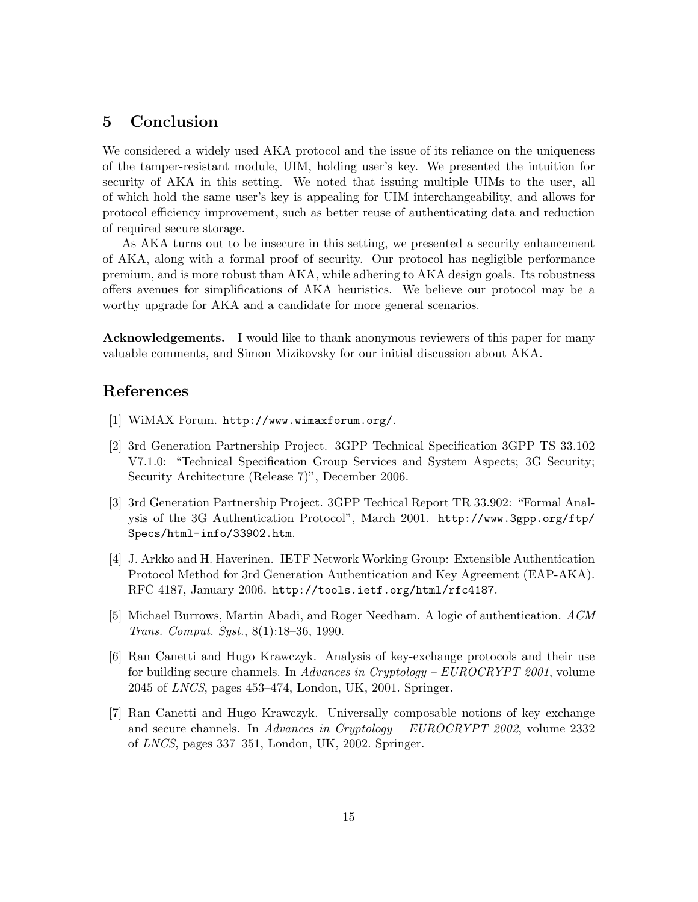## 5 Conclusion

We considered a widely used AKA protocol and the issue of its reliance on the uniqueness of the tamper-resistant module, UIM, holding user's key. We presented the intuition for security of AKA in this setting. We noted that issuing multiple UIMs to the user, all of which hold the same user's key is appealing for UIM interchangeability, and allows for protocol efficiency improvement, such as better reuse of authenticating data and reduction of required secure storage.

As AKA turns out to be insecure in this setting, we presented a security enhancement of AKA, along with a formal proof of security. Our protocol has negligible performance premium, and is more robust than AKA, while adhering to AKA design goals. Its robustness offers avenues for simplifications of AKA heuristics. We believe our protocol may be a worthy upgrade for AKA and a candidate for more general scenarios.

Acknowledgements. I would like to thank anonymous reviewers of this paper for many valuable comments, and Simon Mizikovsky for our initial discussion about AKA.

# References

- [1] WiMAX Forum. http://www.wimaxforum.org/.
- [2] 3rd Generation Partnership Project. 3GPP Technical Specification 3GPP TS 33.102 V7.1.0: "Technical Specification Group Services and System Aspects; 3G Security; Security Architecture (Release 7)", December 2006.
- [3] 3rd Generation Partnership Project. 3GPP Techical Report TR 33.902: "Formal Analysis of the 3G Authentication Protocol", March 2001. http://www.3gpp.org/ftp/ Specs/html-info/33902.htm.
- [4] J. Arkko and H. Haverinen. IETF Network Working Group: Extensible Authentication Protocol Method for 3rd Generation Authentication and Key Agreement (EAP-AKA). RFC 4187, January 2006. http://tools.ietf.org/html/rfc4187.
- [5] Michael Burrows, Martin Abadi, and Roger Needham. A logic of authentication. ACM Trans. Comput. Syst., 8(1):18–36, 1990.
- [6] Ran Canetti and Hugo Krawczyk. Analysis of key-exchange protocols and their use for building secure channels. In Advances in Cryptology – EUROCRYPT 2001, volume 2045 of LNCS, pages 453–474, London, UK, 2001. Springer.
- [7] Ran Canetti and Hugo Krawczyk. Universally composable notions of key exchange and secure channels. In Advances in Cryptology – EUROCRYPT 2002, volume 2332 of LNCS, pages 337–351, London, UK, 2002. Springer.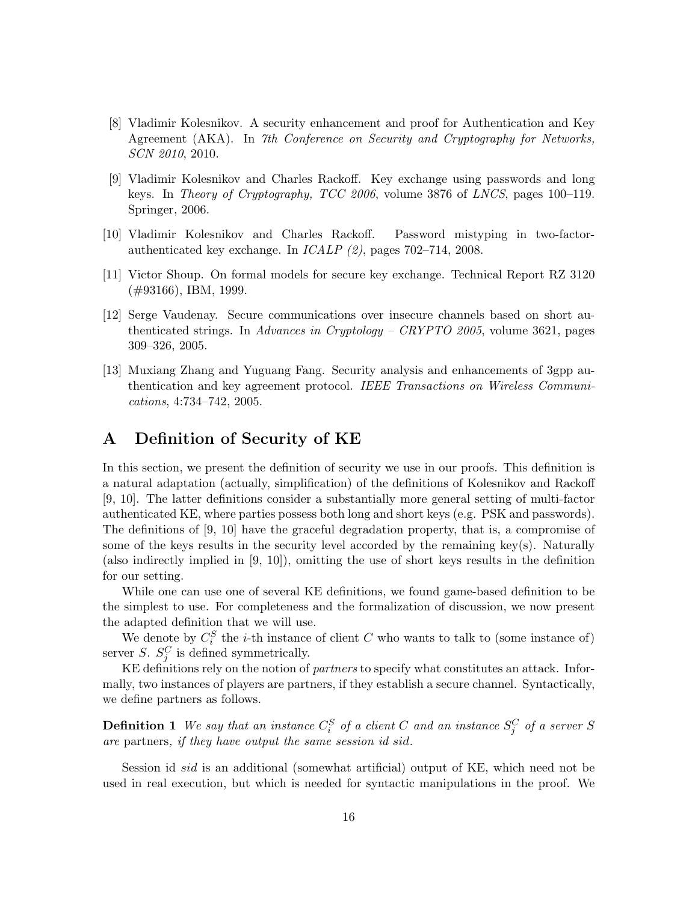- [8] Vladimir Kolesnikov. A security enhancement and proof for Authentication and Key Agreement (AKA). In 7th Conference on Security and Cryptography for Networks, SCN 2010, 2010.
- [9] Vladimir Kolesnikov and Charles Rackoff. Key exchange using passwords and long keys. In Theory of Cryptography, TCC 2006, volume 3876 of LNCS, pages 100–119. Springer, 2006.
- [10] Vladimir Kolesnikov and Charles Rackoff. Password mistyping in two-factorauthenticated key exchange. In ICALP (2), pages 702–714, 2008.
- [11] Victor Shoup. On formal models for secure key exchange. Technical Report RZ 3120 (#93166), IBM, 1999.
- [12] Serge Vaudenay. Secure communications over insecure channels based on short authenticated strings. In Advances in Cryptology – CRYPTO 2005, volume 3621, pages 309–326, 2005.
- [13] Muxiang Zhang and Yuguang Fang. Security analysis and enhancements of 3gpp authentication and key agreement protocol. IEEE Transactions on Wireless Communications, 4:734–742, 2005.

# A Definition of Security of KE

In this section, we present the definition of security we use in our proofs. This definition is a natural adaptation (actually, simplification) of the definitions of Kolesnikov and Rackoff [9, 10]. The latter definitions consider a substantially more general setting of multi-factor authenticated KE, where parties possess both long and short keys (e.g. PSK and passwords). The definitions of [9, 10] have the graceful degradation property, that is, a compromise of some of the keys results in the security level accorded by the remaining key(s). Naturally (also indirectly implied in [9, 10]), omitting the use of short keys results in the definition for our setting.

While one can use one of several KE definitions, we found game-based definition to be the simplest to use. For completeness and the formalization of discussion, we now present the adapted definition that we will use.

We denote by  $C_i^S$  the *i*-th instance of client C who wants to talk to (some instance of) server S.  $S_j^C$  is defined symmetrically.

KE definitions rely on the notion of partners to specify what constitutes an attack. Informally, two instances of players are partners, if they establish a secure channel. Syntactically, we define partners as follows.

**Definition 1** We say that an instance  $C_i^S$  of a client C and an instance  $S_j^C$  of a server S are partners, if they have output the same session id sid.

Session id sid is an additional (somewhat artificial) output of KE, which need not be used in real execution, but which is needed for syntactic manipulations in the proof. We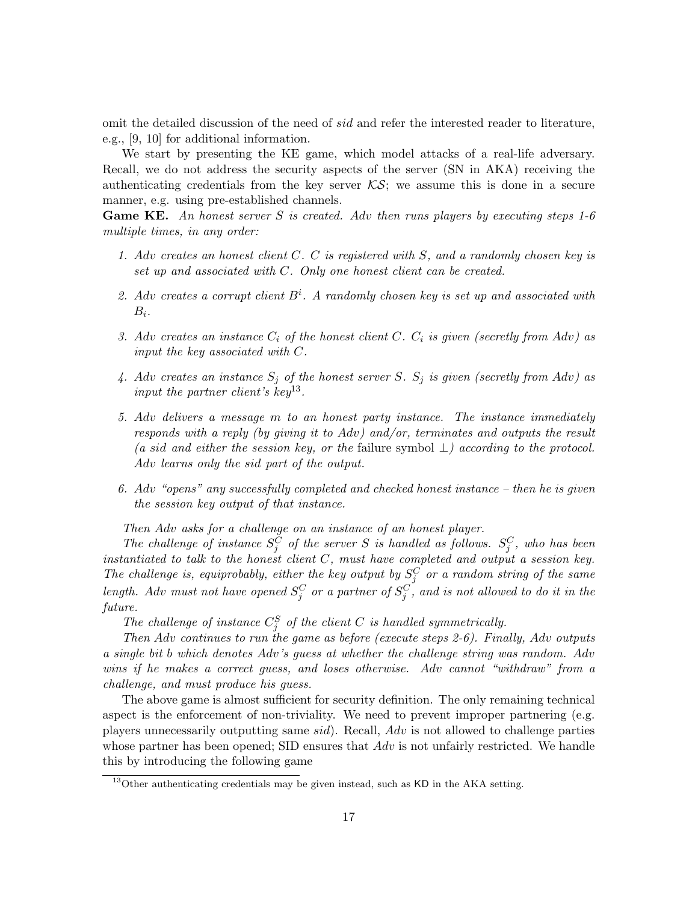omit the detailed discussion of the need of *sid* and refer the interested reader to literature, e.g., [9, 10] for additional information.

We start by presenting the KE game, which model attacks of a real-life adversary. Recall, we do not address the security aspects of the server (SN in AKA) receiving the authenticating credentials from the key server  $\mathcal{KS}$ ; we assume this is done in a secure manner, e.g. using pre-established channels.

**Game KE.** An honest server S is created. Adv then runs players by executing steps 1-6 multiple times, in any order:

- 1. Adv creates an honest client C. C is registered with S, and a randomly chosen key is set up and associated with C. Only one honest client can be created.
- 2. Adv creates a corrupt client  $B^i$ . A randomly chosen key is set up and associated with  $B_i$ .
- 3. Adv creates an instance  $C_i$  of the honest client C.  $C_i$  is given (secretly from Adv) as input the key associated with C.
- 4. Adv creates an instance  $S_j$  of the honest server S.  $S_j$  is given (secretly from Adv) as input the partner client's  $key^{13}$ .
- 5. Adv delivers a message m to an honest party instance. The instance immediately responds with a reply (by giving it to Adv) and/or, terminates and outputs the result (a sid and either the session key, or the failure symbol  $\perp$ ) according to the protocol. Adv learns only the sid part of the output.
- 6. Adv "opens" any successfully completed and checked honest instance then he is given the session key output of that instance.

Then Adv asks for a challenge on an instance of an honest player.

The challenge of instance  $S_j^C$  of the server S is handled as follows.  $S_j^C$ , who has been instantiated to talk to the honest client C, must have completed and output a session key. The challenge is, equiprobably, either the key output by  $S_j^C$  or a random string of the same length. Adv must not have opened  $S_j^C$  or a partner of  $S_j^C$ , and is not allowed to do it in the future.

The challenge of instance  $C_j^S$  of the client C is handled symmetrically.

Then Adv continues to run the game as before (execute steps 2-6). Finally, Adv outputs a single bit b which denotes Adv's guess at whether the challenge string was random. Adv wins if he makes a correct guess, and loses otherwise. Adv cannot "withdraw" from a challenge, and must produce his guess.

The above game is almost sufficient for security definition. The only remaining technical aspect is the enforcement of non-triviality. We need to prevent improper partnering (e.g. players unnecessarily outputting same sid). Recall, Adv is not allowed to challenge parties whose partner has been opened; SID ensures that  $Adv$  is not unfairly restricted. We handle this by introducing the following game

 $^{13}\rm{O}$  ther authenticating credentials may be given instead, such as KD in the AKA setting.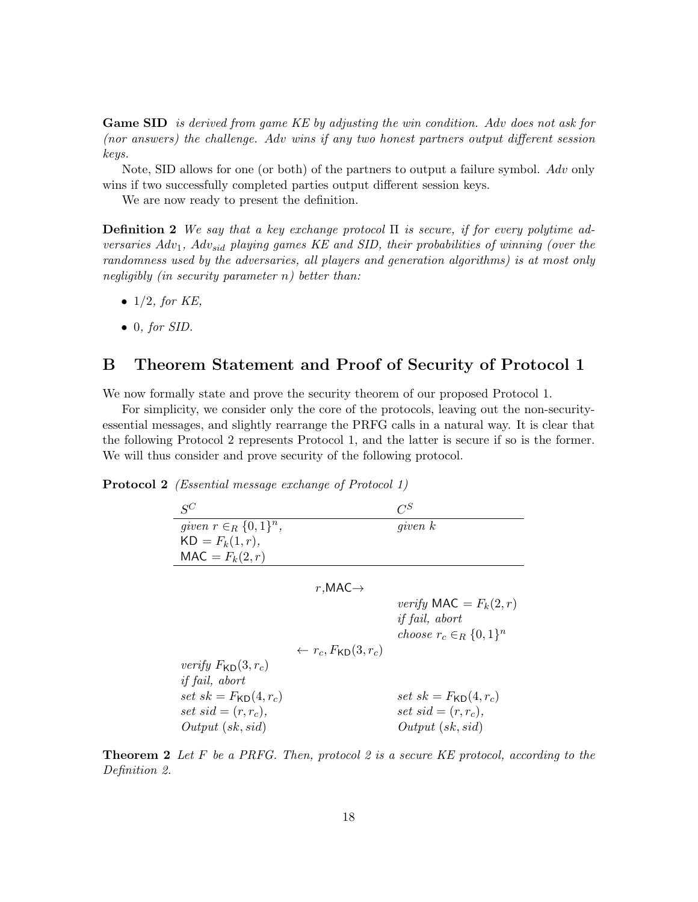Game SID is derived from game KE by adjusting the win condition. Adv does not ask for (nor answers) the challenge. Adv wins if any two honest partners output different session keys.

Note, SID allows for one (or both) of the partners to output a failure symbol. Adv only wins if two successfully completed parties output different session keys.

We are now ready to present the definition.

**Definition 2** We say that a key exchange protocol  $\Pi$  is secure, if for every polytime adversaries  $Adv_1$ ,  $Adv_{sid}$  playing games KE and SID, their probabilities of winning (over the randomness used by the adversaries, all players and generation algorithms) is at most only negligibly (in security parameter  $n$ ) better than:

- $\bullet$  1/2, for KE,
- $\bullet$  0, for SID.

# B Theorem Statement and Proof of Security of Protocol 1

We now formally state and prove the security theorem of our proposed Protocol 1.

For simplicity, we consider only the core of the protocols, leaving out the non-securityessential messages, and slightly rearrange the PRFG calls in a natural way. It is clear that the following Protocol 2 represents Protocol 1, and the latter is secure if so is the former. We will thus consider and prove security of the following protocol.

| <b>Protocol 2</b> (Essential message exchange of Protocol 1) |  |  |  |  |  |  |  |
|--------------------------------------------------------------|--|--|--|--|--|--|--|
|--------------------------------------------------------------|--|--|--|--|--|--|--|

| $S^C$                                 |                                  | $C^S$                           |
|---------------------------------------|----------------------------------|---------------------------------|
| given $r \in_R \{0,1\}^n$ ,           |                                  | given k                         |
| $KD = F_k(1, r),$                     |                                  |                                 |
| $\mathsf{MAC} = F_k(2, r)$            |                                  |                                 |
|                                       | r, MAC $\rightarrow$             |                                 |
|                                       |                                  | <i>verify</i> MAC = $F_k(2, r)$ |
|                                       |                                  | <i>if fail</i> , <i>abort</i>   |
|                                       |                                  | choose $r_c \in_R \{0,1\}^n$    |
|                                       | $\leftarrow r_c, F_{KD}(3, r_c)$ |                                 |
| <i>verify</i> $F_{\text{KD}}(3, r_c)$ |                                  |                                 |
| <i>if fail</i> , <i>abort</i>         |                                  |                                 |
| set $sk = F_{KD}(4, r_c)$             |                                  | set sk = $F_{KD}(4, r_c)$       |
| set sid = $(r, r_c)$ ,                |                                  | set sid = $(r, r_c)$ ,          |

**Theorem 2** Let F be a PRFG. Then, protocol 2 is a secure KE protocol, according to the Definition 2.

Output (sk, sid) Output (sk, sid)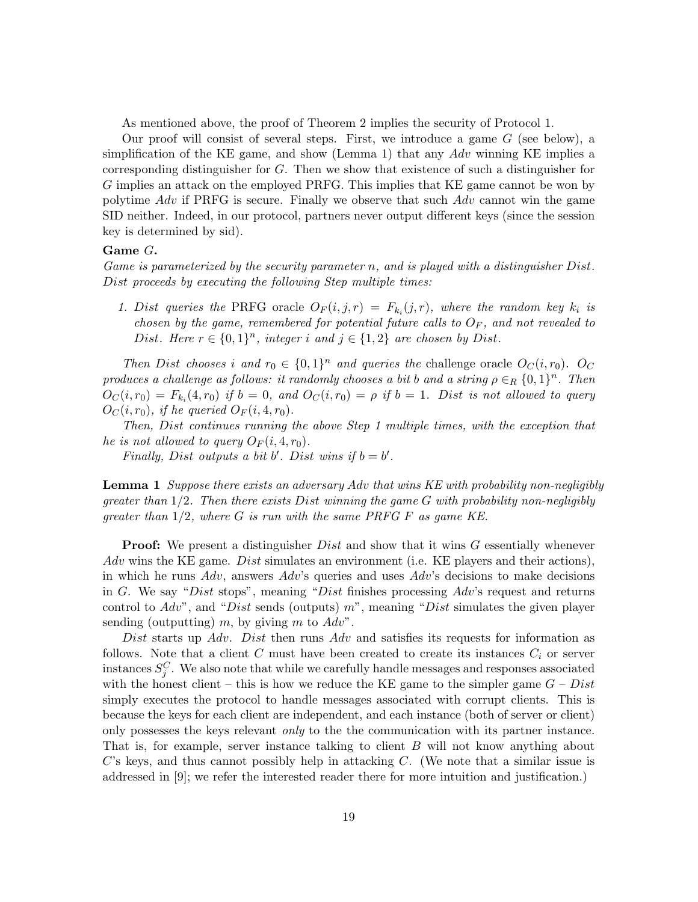As mentioned above, the proof of Theorem 2 implies the security of Protocol 1.

Our proof will consist of several steps. First, we introduce a game  $G$  (see below), a simplification of the KE game, and show (Lemma 1) that any  $Adv$  winning KE implies a corresponding distinguisher for G. Then we show that existence of such a distinguisher for G implies an attack on the employed PRFG. This implies that KE game cannot be won by polytime  $Adv$  if PRFG is secure. Finally we observe that such  $Adv$  cannot win the game SID neither. Indeed, in our protocol, partners never output different keys (since the session key is determined by sid).

#### Game G.

Game is parameterized by the security parameter n, and is played with a distinguisher Dist. Dist proceeds by executing the following Step multiple times:

1. Dist queries the PRFG oracle  $O_F(i,j,r) = F_{k_i}(j,r)$ , where the random key  $k_i$  is chosen by the game, remembered for potential future calls to  $O_F$ , and not revealed to Dist. Here  $r \in \{0,1\}^n$ , integer i and  $j \in \{1,2\}$  are chosen by Dist.

Then Dist chooses i and  $r_0 \in \{0,1\}^n$  and queries the challenge oracle  $O_C(i,r_0)$ .  $O_C$ produces a challenge as follows: it randomly chooses a bit b and a string  $\rho \in_R \{0,1\}^n$ . Then  $O_C(i,r_0) = F_{k_i}(4,r_0)$  if  $b = 0$ , and  $O_C(i,r_0) = \rho$  if  $b = 1$ . Dist is not allowed to query  $O<sub>C</sub>(i,r<sub>0</sub>)$ , if he queried  $O<sub>F</sub>(i, 4, r<sub>0</sub>)$ .

Then, Dist continues running the above Step 1 multiple times, with the exception that he is not allowed to query  $O_F(i, 4, r_0)$ .

Finally, Dist outputs a bit  $b'$ . Dist wins if  $b = b'$ .

**Lemma 1** Suppose there exists an adversary Adv that wins KE with probability non-negligibly greater than  $1/2$ . Then there exists Dist winning the game G with probability non-negligibly qreater than  $1/2$ , where G is run with the same PRFG F as game KE.

**Proof:** We present a distinguisher *Dist* and show that it wins G essentially whenever Adv wins the KE game. Dist simulates an environment (i.e. KE players and their actions), in which he runs  $Adv$ , answers  $Adv$ 's queries and uses  $Adv$ 's decisions to make decisions in G. We say "Dist stops", meaning "Dist finishes processing Adv's request and returns control to  $Adv$ , and "Dist sends (outputs)  $m$ ", meaning "Dist simulates the given player sending (outputting) m, by giving m to  $Adv$ .

Dist starts up Adv. Dist then runs Adv and satisfies its requests for information as follows. Note that a client C must have been created to create its instances  $C_i$  or server instances  $S_j^C$ . We also note that while we carefully handle messages and responses associated with the honest client – this is how we reduce the KE game to the simpler game  $G$  –  $Dist$ simply executes the protocol to handle messages associated with corrupt clients. This is because the keys for each client are independent, and each instance (both of server or client) only possesses the keys relevant only to the the communication with its partner instance. That is, for example, server instance talking to client B will not know anything about C's keys, and thus cannot possibly help in attacking C. (We note that a similar issue is addressed in [9]; we refer the interested reader there for more intuition and justification.)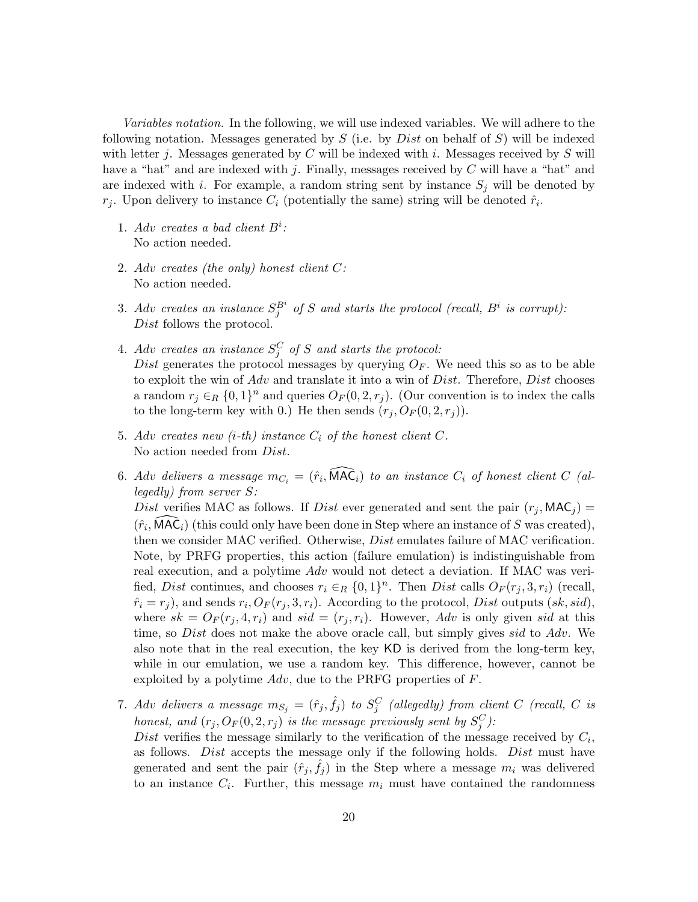Variables notation. In the following, we will use indexed variables. We will adhere to the following notation. Messages generated by  $S$  (i.e. by *Dist* on behalf of  $S$ ) will be indexed with letter j. Messages generated by  $C$  will be indexed with i. Messages received by  $S$  will have a "hat" and are indexed with j. Finally, messages received by  $C$  will have a "hat" and are indexed with i. For example, a random string sent by instance  $S_i$  will be denoted by  $r_j$ . Upon delivery to instance  $C_i$  (potentially the same) string will be denoted  $\hat{r}_i$ .

- 1. Adv creates a bad client  $B^i$ : No action needed.
- 2. Adv creates (the only) honest client C: No action needed.
- 3. Adv creates an instance  $S_j^{B^i}$  of S and starts the protocol (recall,  $B^i$  is corrupt): Dist follows the protocol.
- 4. Adv creates an instance  $S_j^C$  of S and starts the protocol: Dist generates the protocol messages by querying  $O_F$ . We need this so as to be able to exploit the win of  $Adv$  and translate it into a win of  $Dist$ . Therefore,  $Dist$  chooses a random  $r_j \in_R \{0,1\}^n$  and queries  $O_F(0, 2, r_j)$ . (Our convention is to index the calls to the long-term key with 0.) He then sends  $(r_i, O_F(0, 2, r_i))$ .
- 5. Adv creates new  $(i-th)$  instance  $C_i$  of the honest client C. No action needed from Dist.
- 6. Adv delivers a message  $m_{C_i} = (\hat{r}_i, \widehat{\text{MAC}}_i)$  to an instance  $C_i$  of honest client C (allegedly) from server S:

Dist verifies MAC as follows. If Dist ever generated and sent the pair  $(r_i, \text{MAC}_i)$  =  $(\hat{r}_i, \widehat{\text{MAC}}_i)$  (this could only have been done in Step where an instance of S was created), then we consider MAC verified. Otherwise, Dist emulates failure of MAC verification. Note, by PRFG properties, this action (failure emulation) is indistinguishable from real execution, and a polytime Adv would not detect a deviation. If MAC was verified, Dist continues, and chooses  $r_i \in_R \{0,1\}^n$ . Then Dist calls  $O_F(r_j, 3, r_i)$  (recall,  $\hat{r}_i = r_j$ ), and sends  $r_i$ ,  $O_F(r_j, 3, r_i)$ . According to the protocol, *Dist* outputs  $(sk, sid)$ , where  $sk = O_F(r_i, 4, r_i)$  and  $sid = (r_j, r_i)$ . However, Adv is only given sid at this time, so *Dist* does not make the above oracle call, but simply gives sid to  $Adv$ . We also note that in the real execution, the key KD is derived from the long-term key, while in our emulation, we use a random key. This difference, however, cannot be exploited by a polytime  $Adv$ , due to the PRFG properties of  $F$ .

7. Adv delivers a message  $m_{S_j} = (\hat{r}_j, \hat{f}_j)$  to  $S^C_j$  (allegedly) from client  $C$  (recall,  $C$  is honest, and  $(r_j, O_F(0, 2, r_j)$  is the message previously sent by  $S_j^C$ ): Dist verifies the message similarly to the verification of the message received by  $C_i$ , as follows. Dist accepts the message only if the following holds. Dist must have generated and sent the pair  $(\hat{r}_j, \hat{f}_j)$  in the Step where a message  $m_i$  was delivered to an instance  $C_i$ . Further, this message  $m_i$  must have contained the randomness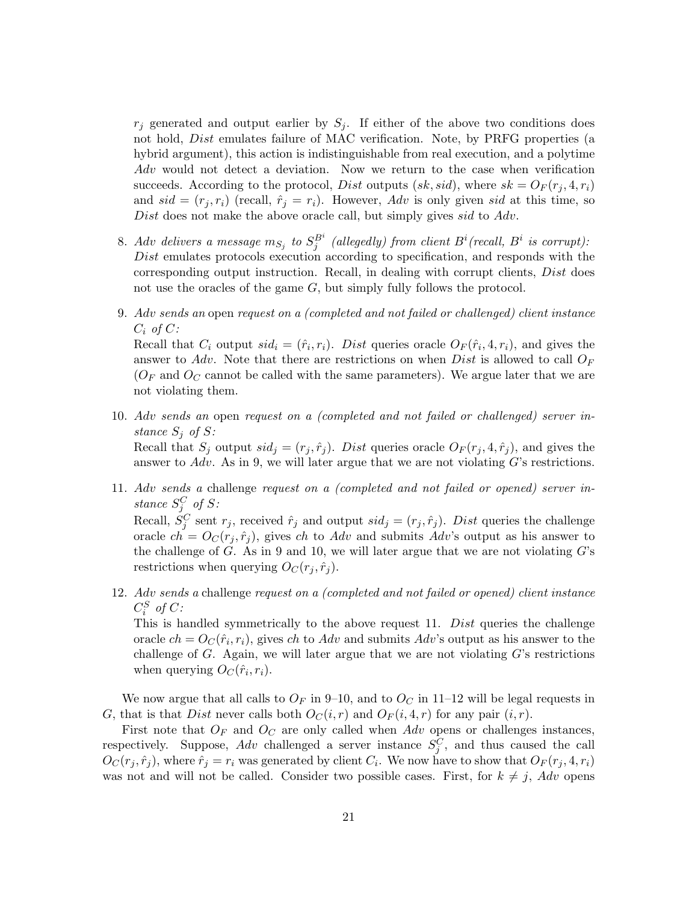$r_j$  generated and output earlier by  $S_j$ . If either of the above two conditions does not hold, Dist emulates failure of MAC verification. Note, by PRFG properties (a hybrid argument), this action is indistinguishable from real execution, and a polytime Adv would not detect a deviation. Now we return to the case when verification succeeds. According to the protocol, *Dist* outputs  $(sk, sid)$ , where  $sk = O_F(r_i, 4, r_i)$ and  $sid = (r_j, r_i)$  (recall,  $\hat{r}_j = r_i$ ). However, Adv is only given sid at this time, so Dist does not make the above oracle call, but simply gives sid to Adv.

- 8. Adv delivers a message  $m_{S_j}$  to  $S_j^{B^i}$  (allegedly) from client  $B^i$  (recall,  $B^i$  is corrupt): Dist emulates protocols execution according to specification, and responds with the corresponding output instruction. Recall, in dealing with corrupt clients, Dist does not use the oracles of the game G, but simply fully follows the protocol.
- 9. Adv sends an open request on a (completed and not failed or challenged) client instance  $C_i$  of C: Recall that  $C_i$  output  $sid_i = (\hat{r}_i, r_i)$ . Dist queries oracle  $O_F(\hat{r}_i, 4, r_i)$ , and gives the answer to Adv. Note that there are restrictions on when Dist is allowed to call  $O_F$  $(O_F \text{ and } O_C \text{ cannot be called with the same parameters).$  We argue later that we are

not violating them. 10. Adv sends an open request on a (completed and not failed or challenged) server in-

stance  $S_j$  of  $S$ : Recall that  $S_j$  output  $sid_j = (r_j, \hat{r}_j)$ . Dist queries oracle  $O_F(r_j, 4, \hat{r}_j)$ , and gives the answer to  $Adv.$  As in 9, we will later argue that we are not violating  $G$ 's restrictions.

11. Adv sends a challenge request on a (completed and not failed or opened) server instance  $S_j^C$  of S:

Recall,  $S_j^C$  sent  $r_j$ , received  $\hat{r}_j$  and output  $sid_j = (r_j, \hat{r}_j)$ . Dist queries the challenge oracle  $ch = O<sub>C</sub>(r<sub>i</sub>, \hat{r}<sub>j</sub>)$ , gives ch to Adv and submits Adv's output as his answer to the challenge of  $G$ . As in 9 and 10, we will later argue that we are not violating  $G$ 's restrictions when querying  $O<sub>C</sub>(r<sub>i</sub>, \hat{r}<sub>i</sub>)$ .

12. Adv sends a challenge request on a (completed and not failed or opened) client instance  $C_i^S$  of C:

This is handled symmetrically to the above request 11. Dist queries the challenge oracle  $ch = O_C(\hat{r}_i, r_i)$ , gives ch to  $Adv$  and submits  $Adv$ 's output as his answer to the challenge of  $G$ . Again, we will later argue that we are not violating  $G$ 's restrictions when querying  $O_C(\hat{r}_i, r_i)$ .

We now argue that all calls to  $O_F$  in 9–10, and to  $O_C$  in 11–12 will be legal requests in G, that is that Dist never calls both  $O<sub>C</sub>(i,r)$  and  $O<sub>F</sub>(i,4,r)$  for any pair  $(i,r)$ .

First note that  $O_F$  and  $O_C$  are only called when Adv opens or challenges instances, respectively. Suppose, Adv challenged a server instance  $S_j^C$ , and thus caused the call  $O_C(r_j, \hat{r}_j)$ , where  $\hat{r}_j = r_i$  was generated by client  $C_i$ . We now have to show that  $O_F(r_j, 4, r_i)$ was not and will not be called. Consider two possible cases. First, for  $k \neq j$ , Adv opens